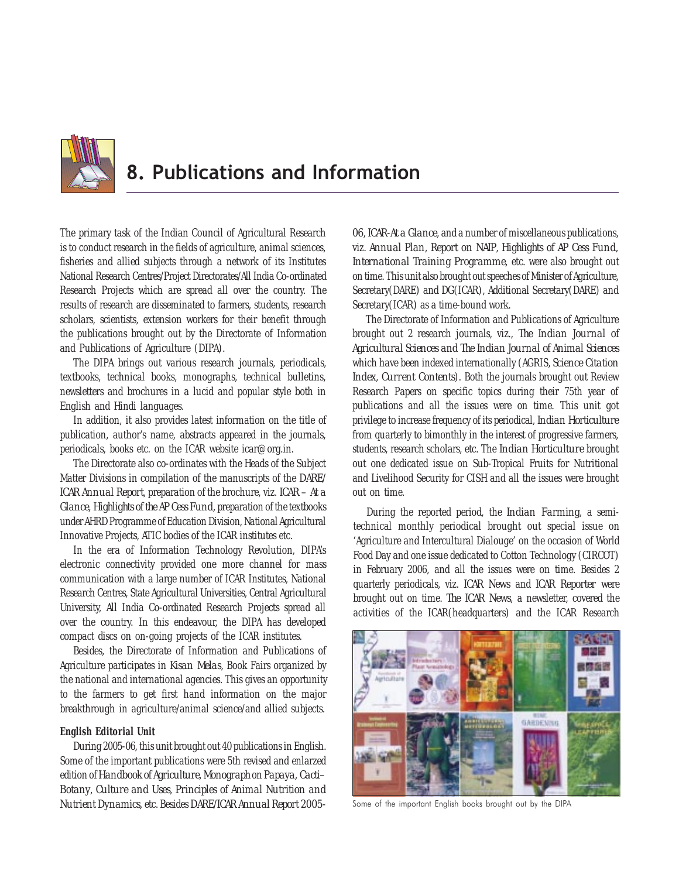

# 8. Publications and Information

The primary task of the Indian Council of Agricultural Research is to conduct research in the fields of agriculture, animal sciences, fisheries and allied subjects through a network of its Institutes National Research Centres/Project Directorates/All India Co-ordinated Research Projects which are spread all over the country. The results of research are disseminated to farmers, students, research scholars, scientists, extension workers for their benefit through the publications brought out by the Directorate of Information and Publications of Agriculture (DIPA).

The DIPA brings out various research journals, periodicals, textbooks, technical books, monographs, technical bulletins, newsletters and brochures in a lucid and popular style both in English and Hindi languages.

In addition, it also provides latest information on the title of publication, author's name, abstracts appeared in the journals, periodicals, books etc. on the ICAR website icar@org.in.

The Directorate also co-ordinates with the Heads of the Subject Matter Divisions in compilation of the manuscripts of the *DARE/ ICAR Annual Report*, preparation of the brochure, viz. *ICAR – At a Glance, Highlights of the AP Cess Fund,* preparation of the textbooks under AHRD Programme of Education Division, National Agricultural Innovative Projects, ATIC bodies of the ICAR institutes etc.

In the era of Information Technology Revolution, DIPA's electronic connectivity provided one more channel for mass communication with a large number of ICAR Institutes, National Research Centres, State Agricultural Universities, Central Agricultural University, All India Co-ordinated Research Projects spread all over the country. In this endeavour, the DIPA has developed compact discs on on-going projects of the ICAR institutes.

Besides, the Directorate of Information and Publications of Agriculture participates in *Kisan Melas*, Book Fairs organized by the national and international agencies. This gives an opportunity to the farmers to get first hand information on the major breakthrough in agriculture/animal science/and allied subjects.

### **English Editorial Unit**

During 2005-06, this unit brought out 40 publications in English. Some of the important publications were 5th revised and enlarzed edition of *Handbook of Agriculture*, *Monograph* on *Papaya, Cacti– Botany*, *Culture and Uses*, *Principles of Animal Nutrition and Nutrient Dynamics,* etc. Besides *DARE/ICAR Annual Report 2005-*

*06*, *ICAR-At a Glance*, and a number of miscellaneous publications, viz. *Annual Plan*, *Report on NAIP*, *Highlights of AP Cess Fund, International Training Programme,* etc. were also brought out on time. This unit also brought out speeches of Minister of Agriculture, Secretary(DARE) and DG(ICAR), Additional Secretary(DARE) and Secretary(ICAR) as a time-bound work.

The Directorate of Information and Publications of Agriculture brought out 2 research journals, viz., *The Indian Journal of Agricultural Sciences and The Indian Journal of Animal Sciences* which have been indexed internationally (AGRIS, *Science Citation Index*, *Current Contents*). Both the journals brought out Review Research Papers on specific topics during their 75th year of publications and all the issues were on time. This unit got privilege to increase frequency of its periodical, *Indian Horticulture* from quarterly to bimonthly in the interest of progressive farmers, students, research scholars, etc. The *Indian Horticulture* brought out one dedicated issue on Sub-Tropical Fruits for Nutritional and Livelihood Security for CISH and all the issues were brought out on time.

During the reported period, the *Indian Farming*, a semitechnical monthly periodical brought out special issue on 'Agriculture and Intercultural Dialouge' on the occasion of World Food Day and one issue dedicated to Cotton Technology (CIRCOT) in February 2006, and all the issues were on time. Besides 2 quarterly periodicals, viz. *ICAR News* and *ICAR Reporter* were brought out on time. *The ICAR News*, a newsletter, covered the activities of the ICAR(headquarters) and the ICAR Research



Some of the important English books brought out by the DIPA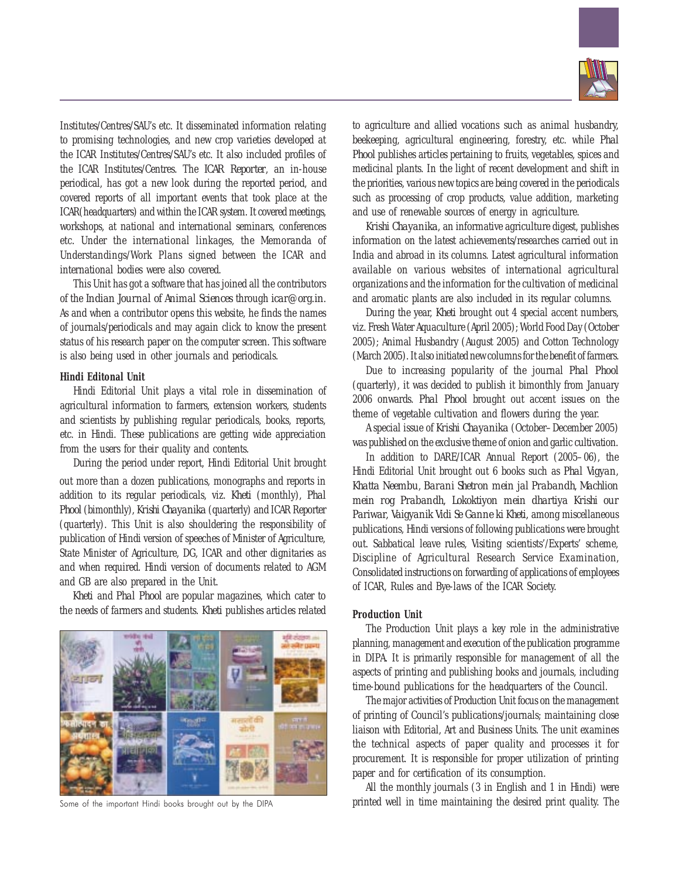

Institutes/Centres/SAU's etc. It disseminated information relating to promising technologies, and new crop varieties developed at the ICAR Institutes/Centres/SAU's etc. It also included profiles of the ICAR Institutes/Centres. The *ICAR Reporter*, an in-house periodical, has got a new look during the reported period, and covered reports of all important events that took place at the ICAR(headquarters) and within the ICAR system. It covered meetings, workshops, at national and international seminars, conferences etc. Under the international linkages, the Memoranda of Understandings/Work Plans signed between the ICAR and international bodies were also covered.

This Unit has got a software that has joined all the contributors of the *Indian Journal of Animal Sciences* through *icar@org.in*. As and when a contributor opens this website, he finds the names of journals/periodicals and may again click to know the present status of his research paper on the computer screen. This software is also being used in other journals and periodicals.

#### **Hindi Editonal Unit**

Hindi Editorial Unit plays a vital role in dissemination of agricultural information to farmers, extension workers, students and scientists by publishing regular periodicals, books, reports, etc. in Hindi. These publications are getting wide appreciation from the users for their quality and contents.

During the period under report, Hindi Editorial Unit brought out more than a dozen publications, monographs and reports in addition to its regular periodicals, viz. *Kheti* (monthly), *Phal Phool* (bimonthly), *Krishi Chayanika* (quarterly) and ICAR Reporter (quarterly). This Unit is also shouldering the responsibility of publication of Hindi version of speeches of Minister of Agriculture, State Minister of Agriculture, DG, ICAR and other dignitaries as and when required. Hindi version of documents related to AGM and GB are also prepared in the Unit.

*Kheti* and *Phal Phool* are popular magazines, which cater to the needs of farmers and students. *Kheti* publishes articles related



Some of the important Hindi books brought out by the DIPA

to agriculture and allied vocations such as animal husbandry, beekeeping, agricultural engineering, forestry, etc. while *Phal Phool* publishes articles pertaining to fruits, vegetables, spices and medicinal plants. In the light of recent development and shift in the priorities, various new topics are being covered in the periodicals such as processing of crop products, value addition, marketing and use of renewable sources of energy in agriculture.

*Krishi Chayanika*, an informative agriculture digest, publishes information on the latest achievements/researches carried out in India and abroad in its columns. Latest agricultural information available on various websites of international agricultural organizations and the information for the cultivation of medicinal and aromatic plants are also included in its regular columns.

During the year, *Kheti* brought out 4 special accent numbers, viz. Fresh Water Aquaculture (April 2005); World Food Day (October 2005); Animal Husbandry (August 2005) and Cotton Technology (March 2005). It also initiated new columns for the benefit of farmers.

Due to increasing popularity of the journal *Phal Phool* (quarterly), it was decided to publish it bimonthly from January 2006 onwards. *Phal Phool* brought out accent issues on the theme of vegetable cultivation and flowers during the year.

A special issue of *Krishi Chayanika* (October–December 2005) was published on the exclusive theme of onion and garlic cultivation.

In addition to DARE/ICAR Annual Report (2005–06), the Hindi Editorial Unit brought out 6 books such as *Phal Vigyan*, *Khatta Neembu*, *Barani Shetron mein jal Prabandh*, *Machlion mein rog Prabandh, Lokoktiyon mein dhartiya Krishi our Pariwar, Vaigyanik Vidi Se Ganne ki Kheti,* among miscellaneous publications, Hindi versions of following publications were brought out. Sabbatical leave rules, Visiting scientists'/Experts' scheme, Discipline of Agricultural Research Service Examination, Consolidated instructions on forwarding of applications of employees of ICAR, Rules and Bye-laws of the ICAR Society.

#### **Production Unit**

The Production Unit plays a key role in the administrative planning, management and execution of the publication programme in DIPA. It is primarily responsible for management of all the aspects of printing and publishing books and journals, including time-bound publications for the headquarters of the Council.

The major activities of Production Unit focus on the management of printing of Council's publications/journals; maintaining close liaison with Editorial, Art and Business Units. The unit examines the technical aspects of paper quality and processes it for procurement. It is responsible for proper utilization of printing paper and for certification of its consumption.

All the monthly journals (3 in English and 1 in Hindi) were printed well in time maintaining the desired print quality. The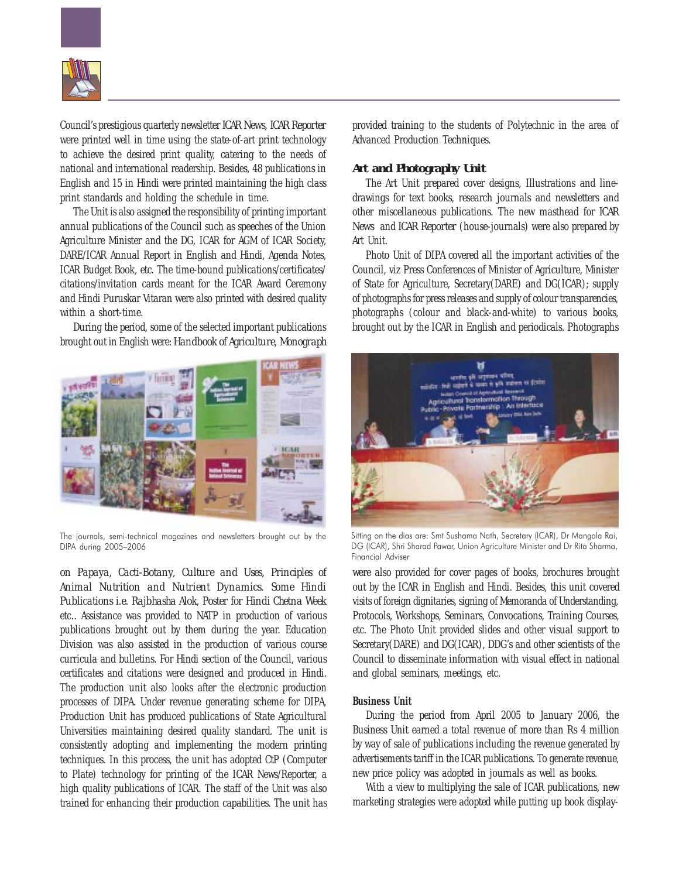

Council's prestigious quarterly newsletter *ICAR News, ICAR Reporter* were printed well in time using the state-of-art print technology to achieve the desired print quality, catering to the needs of national and international readership. Besides, 48 publications in English and 15 in Hindi were printed maintaining the high class print standards and holding the schedule in time.

The Unit is also assigned the responsibility of printing important annual publications of the Council such as speeches of the Union Agriculture Minister and the DG, ICAR for AGM of ICAR Society, DARE/ICAR Annual Report in English and Hindi, Agenda Notes, ICAR Budget Book, etc. The time-bound publications/certificates/ citations/invitation cards meant for the ICAR Award Ceremony and Hindi Puruskar Vitaran were also printed with desired quality within a short-time.

During the period, some of the selected important publications brought out in English were: *Handbook of Agriculture, Monograph*



The journals, semi-technical magazines and newsletters brought out by the DIPA during 2005–2006

*on Papaya, Cacti-Botany, Culture and Uses, Principles of Animal Nutrition and Nutrient Dynamics. Some Hindi Publications i.e. Rajbhasha Alok, Poster for Hindi Chetna Week* etc*.*. Assistance was provided to NATP in production of various publications brought out by them during the year. Education Division was also assisted in the production of various course curricula and bulletins. For Hindi section of the Council, various certificates and citations were designed and produced in Hindi. The production unit also looks after the electronic production processes of DIPA. Under revenue generating scheme for DIPA, Production Unit has produced publications of State Agricultural Universities maintaining desired quality standard. The unit is consistently adopting and implementing the modern printing techniques. In this process, the unit has adopted CtP (Computer to Plate) technology for printing of the ICAR News/Reporter, a high quality publications of ICAR. The staff of the Unit was also trained for enhancing their production capabilities. The unit has

provided training to the students of Polytechnic in the area of Advanced Production Techniques.

### *Art and Photography Unit*

The Art Unit prepared cover designs, Illustrations and linedrawings for text books, research journals and newsletters and other miscellaneous publications. The new masthead for *ICAR News* and *ICAR Reporter* (house-journals) were also prepared by Art Unit.

Photo Unit of DIPA covered all the important activities of the Council, viz Press Conferences of Minister of Agriculture, Minister of State for Agriculture, Secretary(DARE) and DG(ICAR); supply of photographs for press releases and supply of colour transparencies, photographs (colour and black-and-white) to various books, brought out by the ICAR in English and periodicals. Photographs



Sitting on the dias are: Smt Sushama Nath, Secretary (ICAR), Dr Mangala Rai, DG (ICAR), Shri Sharad Pawar, Union Agriculture Minister and Dr Rita Sharma, Financial Adviser

were also provided for cover pages of books, brochures brought out by the ICAR in English and Hindi. Besides, this unit covered visits of foreign dignitaries, signing of Memoranda of Understanding, Protocols, Workshops, Seminars, Convocations, Training Courses, etc. The Photo Unit provided slides and other visual support to Secretary(DARE) and DG(ICAR), DDG's and other scientists of the Council to disseminate information with visual effect in national and global seminars, meetings, etc.

## **Business Unit**

During the period from April 2005 to January 2006, the Business Unit earned a total revenue of more than Rs 4 million by way of sale of publications including the revenue generated by advertisements tariff in the ICAR publications. To generate revenue, new price policy was adopted in journals as well as books.

With a view to multiplying the sale of ICAR publications, new marketing strategies were adopted while putting up book display-